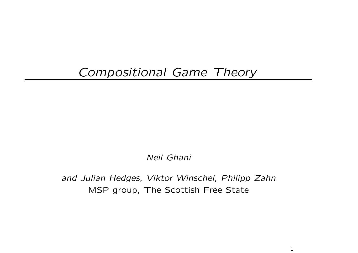## Compositional Game Theory

Neil Ghani

and Julian Hedges, Viktor Winschel, Philipp Zahn MSP group, The Scottish Free State

1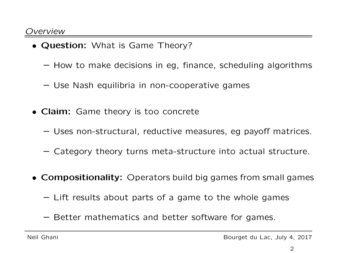- Question: What is Game Theory?
	- How to make decisions in eg, finance, scheduling algorithms
	- Use Nash equilibria in non-cooperative games
- Claim: Game theory is too concrete
	- Uses non-structural, reductive measures, eg payoff matrices.
	- Category theory turns meta-structure into actual structure.
- Compositionality: Operators build big games from small games
	- Lift results about parts of <sup>a</sup> game to the whole games
	- Better mathematics and better software for games.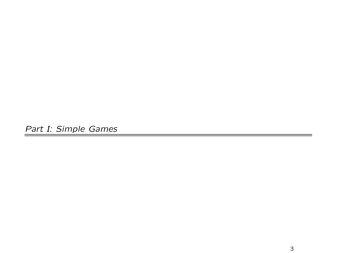Part I: Simple Games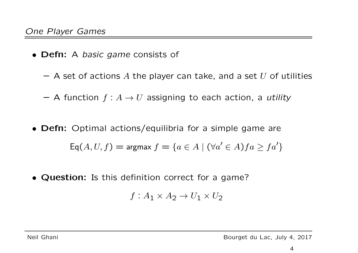- Defn: A *basic game* consists of
	- $-$  A set of actions  $A$  the player can take, and a set  $U$  of utilities
	- $-$  A function  $f: A \to U$  assigning to each action, a *utility*
- Defn: Optimal actions/equilibria for <sup>a</sup> simple game are  $\mathsf{Eq}(A, U, f) = \text{argmax } f = \{a \in A \mid (\forall a' \in A)fa \geq fa'\}$
- Question: Is this definition correct for a game?

$$
f: A_1 \times A_2 \to U_1 \times U_2
$$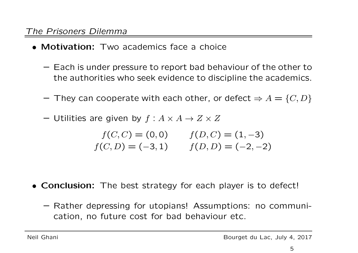- Motivation: Two academics face a choice
	- Each is under pressure to report bad behaviour of the other to the authorities who seek evidence to discipline the academics.
	- $-$  They can cooperate with each other, or defect  $\Rightarrow A = \{C, D\}$
	- $-$  Utilities are given by  $f: A \times A \rightarrow Z \times Z$

$$
f(C, C) = (0, 0) \qquad f(D, C) = (1, -3)
$$
  

$$
f(C, D) = (-3, 1) \qquad f(D, D) = (-2, -2)
$$

- Conclusion: The best strategy for each player is to defect!
	- Rather depressing for utopians! Assumptions: no communication, no future cost for bad behaviour etc.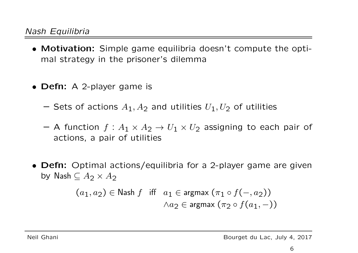- Motivation: Simple game equilibria doesn't compute the optimal strategy in the prisoner's dilemma
- Defn: A 2-player game is
	- $-$  Sets of actions  $A_1, A_2$  and utilities  $U_1, U_2$  of utilities
	- $-$  A function  $f:A_1\times A_2\rightarrow U_1\times U_2$  assigning to each pair of actions, <sup>a</sup> pair of utilities
- Defn: Optimal actions/equilibria for <sup>a</sup> 2-player game are given by  $\operatorname{\mathsf{Nash}}\subseteq A_2\times A_2$

$$
(a_1, a_2) \in \mathsf{Nash} \ f \quad \text{iff} \quad a_1 \in \text{argmax} \ (\pi_1 \circ f(-, a_2))
$$
\n
$$
\land a_2 \in \text{argmax} \ (\pi_2 \circ f(a_1, -))
$$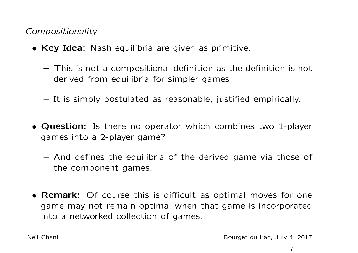- **Key Idea:** Nash equilibria are given as primitive.
	- This is not <sup>a</sup> compositional definition as the definition is not derived from equilibria for simpler games
	- It is simply postulated as reasonable, justified empirically.
- Question: Is there no operator which combines two 1-player games into <sup>a</sup> 2-player game?
	- And defines the equilibria of the derived game via those of the component games.
- Remark: Of course this is difficult as optimal moves for one game may not remain optimal when that game is incorporated into <sup>a</sup> networked collection of games.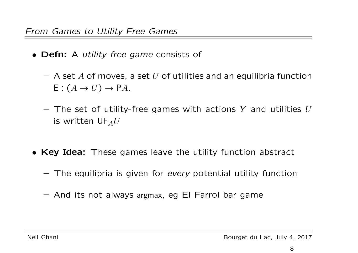- Defn: A *utility-free game* consists of
	- $-$  A set  $A$  of moves, a set  $U$  of utilities and an equilibria function  $\mathsf{E}: (A \to U) \to \mathsf{P} A.$
	- $-$  The set of utility-free games with actions  $Y$  and utilities  $U$ is written  $\mathsf{UF}_A U$
- Key Idea: These games leave the utility function abstract
	- $-$  The equilibria is given for *every* potential utility function
	- And its not always argmax, eg El Farrol bar game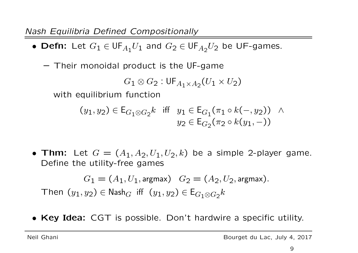Nash Equilibria Defined Compositionally

 $\bullet$  Defn: Let  $G_1\in \mathsf{UF}_{A_1}U_1$  and  $G_2\in \mathsf{UF}_{A_2}U_2$  be UF-games.

– Their monoidal product is the UF-game

$$
G_1 \otimes G_2 : \mathsf{UF}_{A_1 \times A_2}(U_1 \times U_2)
$$

with equilibrium function

$$
(y_1, y_2) \in \mathsf{E}_{G_1 \otimes G_2} k \quad \text{iff} \quad y_1 \in \mathsf{E}_{G_1}(\pi_1 \circ k(-, y_2)) \quad \land \quad y_2 \in \mathsf{E}_{G_2}(\pi_2 \circ k(y_1, -))
$$

• Thm: Let  $G=(A_1,A_2,U_1,U_2,k)$  be a simple 2-player game. Define the utility-free games

 $G_1=(A_1,U_1,$  argmax $)$   $\quad G_2=(A_2,U_2,$  argmax $).$  $\top$ hen  $(y_1,y_2)\in \mathsf{Nash}_G$  iff  $(y_1,y_2)\in \mathsf{E}_{G_1\otimes G_2}k$ 

• Key Idea: CGT is possible. Don't hardwire a specific utility.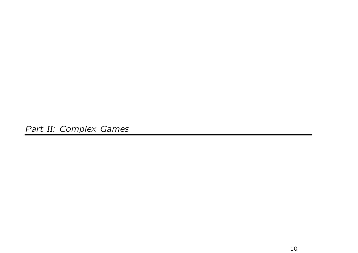Part II: Complex Games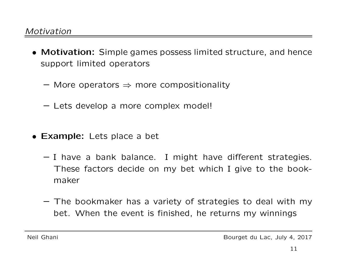- Motivation: Simple games possess limited structure, and hence support limited operators
	- $-$  More operators  $\Rightarrow$  more compositionality
	- Lets develop <sup>a</sup> more complex model!
- Example: Lets place <sup>a</sup> bet
	- I have <sup>a</sup> bank balance. I might have di fferent strategies. These factors decide on my bet which I give to the bookmaker
	- The bookmaker has <sup>a</sup> variety of strategies to deal with my bet. When the event is finished, he returns my winnings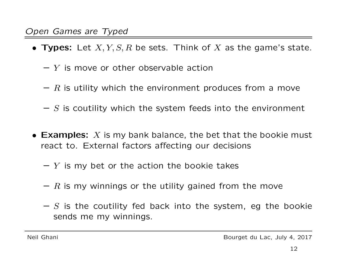- $\bullet$  Types: Let  $X,Y,S,R$  be sets. Think of  $X$  as the game's state.
	- $Y$  is move or other observable action
	- $\mathrel{R}$  is utility which the environment produces from a move
	- $S$  is coutility which the system feeds into the environment
- Examples:  $X$  is my bank balance, the bet that the bookie must react to. External factors <sup>a</sup>ffecting our decisions
	- $\overline{Y}$  is my bet or the action the bookie takes
	- $\mathrel{R}$  is my winnings or the utility gained from the move
	- $S$  is the coutility fed back into the system, eg the bookie sends me my winnings.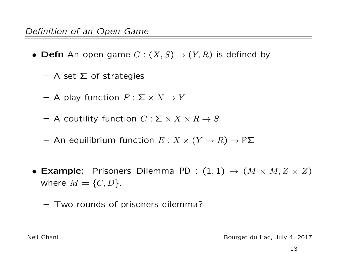- $\bullet$  Defn An open game  $G: (X, S) \rightarrow (Y, R)$  is defined by
	- $-$  A set  $\Sigma$  of strategies
	- $-$  A play function  $P:\mathsf{\Sigma}\times X\to Y$
	- $-$  A coutility function  $C: \mathsf{\Sigma} \times X \times R \to S$
	- $-$  An equilibrium function  $E: X \times (Y \to R) \to \mathsf{P}\mathsf{\Sigma}$
- $\bullet$  Example: Prisoners Dilemma PD :  $(1,1)\,\rightarrow\,(M\times M,Z\times Z)$ where  $M=\{C,D\}.$ 
	- Two rounds of prisoners dilemma?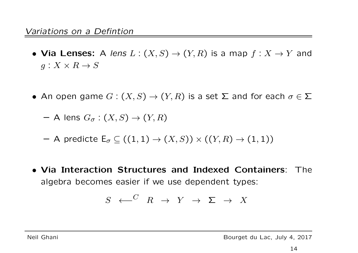- Via Lenses: A lens  $L: (X, S) \rightarrow (Y, R)$  is a map  $f: X \rightarrow Y$  and  $g: X \times R \to S$
- An open game  $G: (X, S) \to (Y, R)$  is a set  $\Sigma$  and for each  $\sigma \in \Sigma$

 $-$  A lens  $G_\sigma : (X,S) \rightarrow (Y,R)$ 

- $-$  A predicte  $\mathsf{E}_\sigma \subseteq \left( (1,1) \to (X,S) \right) \times \left( (Y,R) \to (1,1) \right)$
- Via Interaction Structures and Indexed Containers: The algebra becomes easier if we use dependent types:

S ←− C R → Y → Σ → X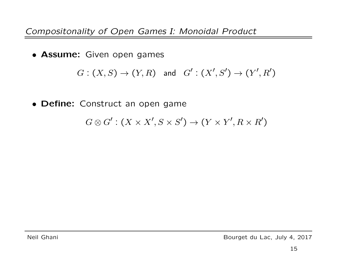Compositonality of Open Games I: Monoidal Product

**• Assume:** Given open games

$$
G: (X, S) \to (Y, R) \quad \text{and} \quad G': (X', S') \to (Y', R')
$$

• Define: Construct an open game

$$
G \otimes G' : (X \times X', S \times S') \to (Y \times Y', R \times R')
$$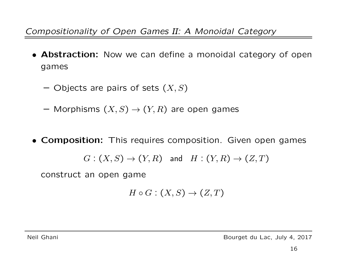Compositionality of Open Games II: A Monoidal Category

- Abstraction: Now we can define <sup>a</sup> monoidal category of open games
	- $-$  Objects are pairs of sets  $(X,S)$
	- $-$  Morphisms  $(X,S)\to (Y,R)$  are open games
- **Composition:** This requires composition. Given open games

$$
G:(X, S) \rightarrow (Y, R)
$$
 and  $H:(Y, R) \rightarrow (Z, T)$ 

construct an open game

$$
H \circ G : (X, S) \to (Z, T)
$$